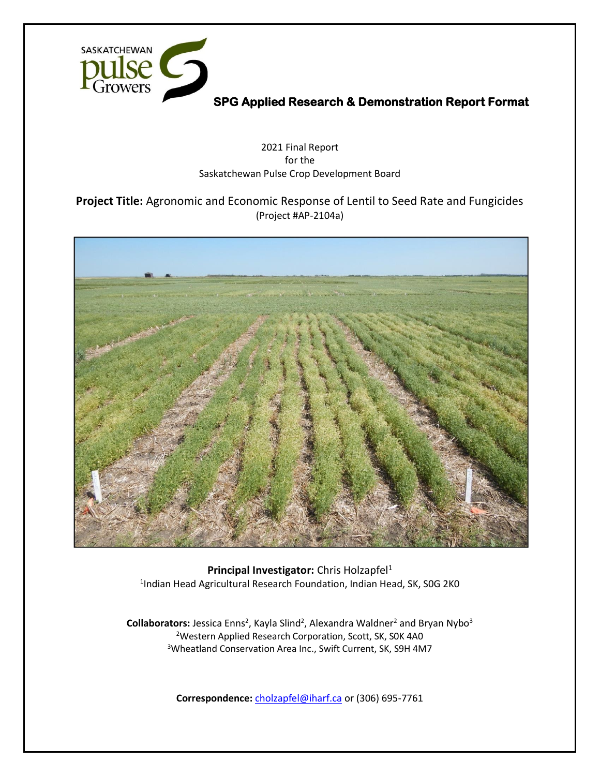

# **SPG Applied Research & Demonstration Report Format**

2021 Final Report for the Saskatchewan Pulse Crop Development Board

**Project Title:** Agronomic and Economic Response of Lentil to Seed Rate and Fungicides (Project #AP-2104a)



**Principal Investigator:** Chris Holzapfel<sup>1</sup> <sup>1</sup>Indian Head Agricultural Research Foundation, Indian Head, SK, SOG 2KO

Collaborators: Jessica Enns<sup>2</sup>, Kayla Slind<sup>2</sup>, Alexandra Waldner<sup>2</sup> and Bryan Nybo<sup>3</sup> <sup>2</sup>Western Applied Research Corporation, Scott, SK, S0K 4A0 <sup>3</sup>Wheatland Conservation Area Inc., Swift Current, SK, S9H 4M7

**Correspondence:** [cholzapfel@iharf.ca](mailto:cholzapfel@iharf.ca) or (306) 695-7761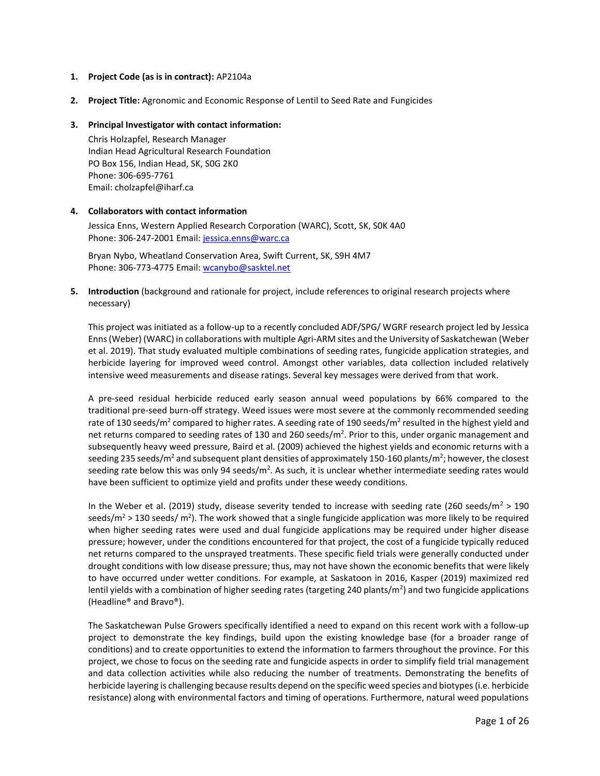## **1. Project Code (as is in contract):** AP2104a

**2. Project Title:** Agronomic and Economic Response of Lentil to Seed Rate and Fungicides

## **3. Principal Investigator with contact information:**

Chris Holzapfel, Research Manager Indian Head Agricultural Research Foundation PO Box 156, Indian Head, SK, S0G 2K0 Phone: 306-695-7761 Email: cholzapfel@iharf.ca

## **4. Collaborators with contact information**

Jessica Enns, Western Applied Research Corporation (WARC), Scott, SK, S0K 4A0 Phone: 306-247-2001 Email: [jessica.enns@warc.ca](mailto:jessica.enns@warc.ca)

Bryan Nybo, Wheatland Conservation Area, Swift Current, SK, S9H 4M7 Phone: 306-773-4775 Email: [wcanybo@sasktel.net](mailto:wcanybo@sasktel.net)

**5. Introduction** (background and rationale for project, include references to original research projects where necessary)

This project was initiated as a follow-up to a recently concluded ADF/SPG/ WGRF research project led by Jessica Enns(Weber) (WARC) in collaborations with multiple Agri-ARM sites and the University of Saskatchewan (Weber et al. 2019). That study evaluated multiple combinations of seeding rates, fungicide application strategies, and herbicide layering for improved weed control. Amongst other variables, data collection included relatively intensive weed measurements and disease ratings. Several key messages were derived from that work.

A pre-seed residual herbicide reduced early season annual weed populations by 66% compared to the traditional pre-seed burn-off strategy. Weed issues were most severe at the commonly recommended seeding rate of 130 seeds/m<sup>2</sup> compared to higher rates. A seeding rate of 190 seeds/m<sup>2</sup> resulted in the highest yield and net returns compared to seeding rates of 130 and 260 seeds/m<sup>2</sup>. Prior to this, under organic management and subsequently heavy weed pressure, Baird et al. (2009) achieved the highest yields and economic returns with a seeding 235 seeds/m<sup>2</sup> and subsequent plant densities of approximately 150-160 plants/m<sup>2</sup>; however, the closest seeding rate below this was only 94 seeds/m<sup>2</sup>. As such, it is unclear whether intermediate seeding rates would have been sufficient to optimize yield and profits under these weedy conditions.

In the Weber et al. (2019) study, disease severity tended to increase with seeding rate (260 seeds/m<sup>2</sup> > 190 seeds/m<sup>2</sup> > 130 seeds/ m<sup>2</sup>). The work showed that a single fungicide application was more likely to be required when higher seeding rates were used and dual fungicide applications may be required under higher disease pressure; however, under the conditions encountered for that project, the cost of a fungicide typically reduced net returns compared to the unsprayed treatments. These specific field trials were generally conducted under drought conditions with low disease pressure; thus, may not have shown the economic benefits that were likely to have occurred under wetter conditions. For example, at Saskatoon in 2016, Kasper (2019) maximized red lentil yields with a combination of higher seeding rates (targeting 240 plants/m<sup>2</sup>) and two fungicide applications (Headline® and Bravo®).

The Saskatchewan Pulse Growers specifically identified a need to expand on this recent work with a follow-up project to demonstrate the key findings, build upon the existing knowledge base (for a broader range of conditions) and to create opportunities to extend the information to farmers throughout the province. For this project, we chose to focus on the seeding rate and fungicide aspects in order to simplify field trial management and data collection activities while also reducing the number of treatments. Demonstrating the benefits of herbicide layering is challenging because results depend on the specific weed species and biotypes (i.e. herbicide resistance) along with environmental factors and timing of operations. Furthermore, natural weed populations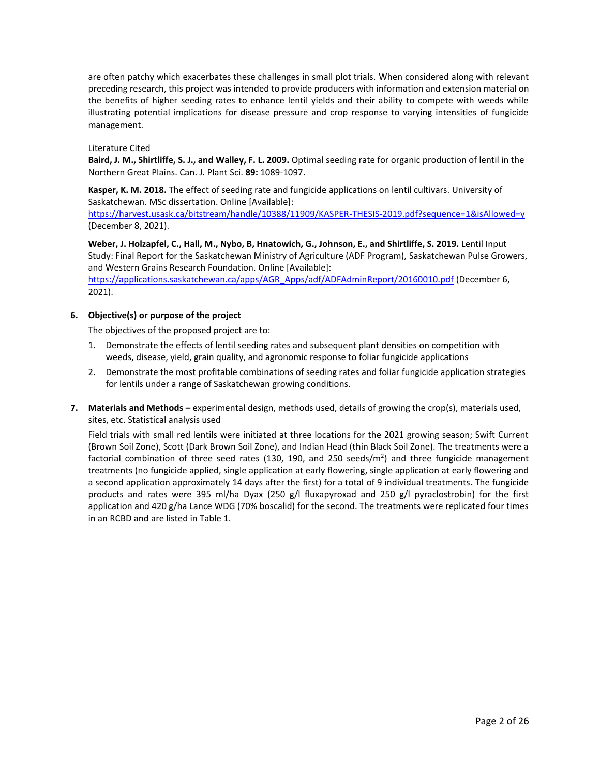are often patchy which exacerbates these challenges in small plot trials. When considered along with relevant preceding research, this project was intended to provide producers with information and extension material on the benefits of higher seeding rates to enhance lentil yields and their ability to compete with weeds while illustrating potential implications for disease pressure and crop response to varying intensities of fungicide management.

# Literature Cited

**Baird, J. M., Shirtliffe, S. J., and Walley, F. L. 2009.** Optimal seeding rate for organic production of lentil in the Northern Great Plains. Can. J. Plant Sci. **89:** 1089-1097.

**Kasper, K. M. 2018.** The effect of seeding rate and fungicide applications on lentil cultivars. University of Saskatchewan. MSc dissertation. Online [Available]:

<https://harvest.usask.ca/bitstream/handle/10388/11909/KASPER-THESIS-2019.pdf?sequence=1&isAllowed=y> (December 8, 2021).

**Weber, J. Holzapfel, C., Hall, M., Nybo, B, Hnatowich, G., Johnson, E., and Shirtliffe, S. 2019.** Lentil Input Study: Final Report for the Saskatchewan Ministry of Agriculture (ADF Program), Saskatchewan Pulse Growers, and Western Grains Research Foundation. Online [Available]:

[https://applications.saskatchewan.ca/apps/AGR\\_Apps/adf/ADFAdminReport/20160010.pdf](https://applications.saskatchewan.ca/apps/AGR_Apps/adf/ADFAdminReport/20160010.pdf) (December 6, 2021).

# **6. Objective(s) or purpose of the project**

The objectives of the proposed project are to:

- 1. Demonstrate the effects of lentil seeding rates and subsequent plant densities on competition with weeds, disease, yield, grain quality, and agronomic response to foliar fungicide applications
- 2. Demonstrate the most profitable combinations of seeding rates and foliar fungicide application strategies for lentils under a range of Saskatchewan growing conditions.
- **7. Materials and Methods –** experimental design, methods used, details of growing the crop(s), materials used, sites, etc. Statistical analysis used

Field trials with small red lentils were initiated at three locations for the 2021 growing season; Swift Current (Brown Soil Zone), Scott (Dark Brown Soil Zone), and Indian Head (thin Black Soil Zone). The treatments were a factorial combination of three seed rates (130, 190, and 250 seeds/m<sup>2</sup>) and three fungicide management treatments (no fungicide applied, single application at early flowering, single application at early flowering and a second application approximately 14 days after the first) for a total of 9 individual treatments. The fungicide products and rates were 395 ml/ha Dyax (250 g/l fluxapyroxad and 250 g/l pyraclostrobin) for the first application and 420 g/ha Lance WDG (70% boscalid) for the second. The treatments were replicated four times in an RCBD and are listed in Table 1.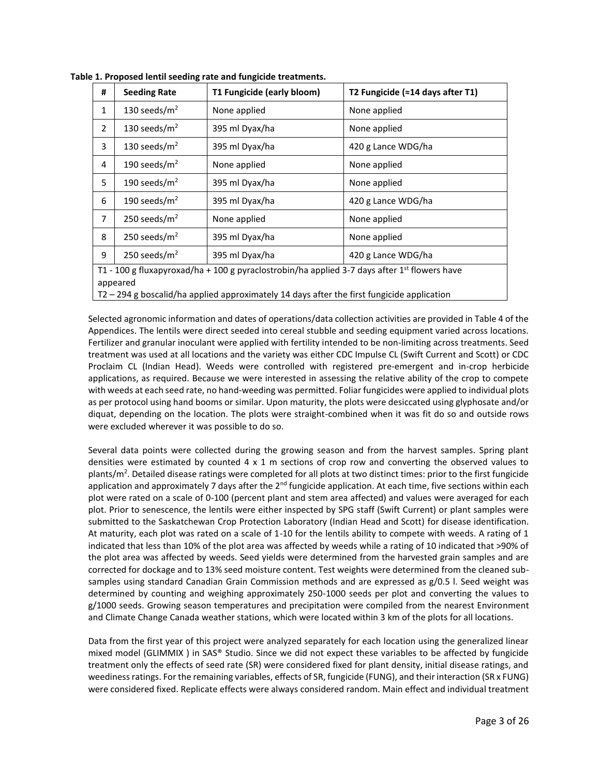| #                                                                                                        | <b>Seeding Rate</b>                                     | T1 Fungicide (early bloom) | T2 Fungicide ( $\approx$ 14 days after T1) |  |  |
|----------------------------------------------------------------------------------------------------------|---------------------------------------------------------|----------------------------|--------------------------------------------|--|--|
| $\mathbf{1}$                                                                                             | 130 seeds/ $m2$                                         | None applied               | None applied                               |  |  |
| 2                                                                                                        | 130 seeds/ $m2$                                         | 395 ml Dyax/ha             | None applied                               |  |  |
| 3                                                                                                        | 130 seeds/ $m2$                                         | 395 ml Dyax/ha             | 420 g Lance WDG/ha                         |  |  |
| 4                                                                                                        | 190 seeds/ $m2$                                         | None applied               | None applied                               |  |  |
| 5                                                                                                        | 190 seeds/ $m2$                                         | 395 ml Dyax/ha             | None applied                               |  |  |
| 6                                                                                                        | 190 seeds/ $m2$                                         | 395 ml Dyax/ha             | 420 g Lance WDG/ha                         |  |  |
| $\overline{7}$                                                                                           | 250 seeds/ $m2$                                         | None applied               | None applied                               |  |  |
| 8                                                                                                        | 250 seeds/ $m2$                                         | 395 ml Dyax/ha             | None applied                               |  |  |
| 9                                                                                                        | 250 seeds/ $m2$<br>395 ml Dyax/ha<br>420 g Lance WDG/ha |                            |                                            |  |  |
| T1 - 100 g fluxapyroxad/ha + 100 g pyraclostrobin/ha applied 3-7 days after 1 <sup>st</sup> flowers have |                                                         |                            |                                            |  |  |
| appeared                                                                                                 |                                                         |                            |                                            |  |  |
| T2 - 294 g boscalid/ha applied approximately 14 days after the first fungicide application               |                                                         |                            |                                            |  |  |

**Table 1. Proposed lentil seeding rate and fungicide treatments.**

Selected agronomic information and dates of operations/data collection activities are provided in Table 4 of the Appendices. The lentils were direct seeded into cereal stubble and seeding equipment varied across locations. Fertilizer and granular inoculant were applied with fertility intended to be non-limiting across treatments. Seed treatment was used at all locations and the variety was either CDC Impulse CL (Swift Current and Scott) or CDC Proclaim CL (Indian Head). Weeds were controlled with registered pre-emergent and in-crop herbicide applications, as required. Because we were interested in assessing the relative ability of the crop to compete with weeds at each seed rate, no hand-weeding was permitted. Foliar fungicides were applied to individual plots as per protocol using hand booms or similar. Upon maturity, the plots were desiccated using glyphosate and/or diquat, depending on the location. The plots were straight-combined when it was fit do so and outside rows were excluded wherever it was possible to do so.

Several data points were collected during the growing season and from the harvest samples. Spring plant densities were estimated by counted  $4 \times 1$  m sections of crop row and converting the observed values to plants/m<sup>2</sup>. Detailed disease ratings were completed for all plots at two distinct times: prior to the first fungicide application and approximately 7 days after the  $2^{nd}$  fungicide application. At each time, five sections within each plot were rated on a scale of 0-100 (percent plant and stem area affected) and values were averaged for each plot. Prior to senescence, the lentils were either inspected by SPG staff (Swift Current) or plant samples were submitted to the Saskatchewan Crop Protection Laboratory (Indian Head and Scott) for disease identification. At maturity, each plot was rated on a scale of 1-10 for the lentils ability to compete with weeds. A rating of 1 indicated that less than 10% of the plot area was affected by weeds while a rating of 10 indicated that >90% of the plot area was affected by weeds. Seed yields were determined from the harvested grain samples and are corrected for dockage and to 13% seed moisture content. Test weights were determined from the cleaned subsamples using standard Canadian Grain Commission methods and are expressed as g/0.5 l. Seed weight was determined by counting and weighing approximately 250-1000 seeds per plot and converting the values to g/1000 seeds. Growing season temperatures and precipitation were compiled from the nearest Environment and Climate Change Canada weather stations, which were located within 3 km of the plots for all locations.

Data from the first year of this project were analyzed separately for each location using the generalized linear mixed model (GLIMMIX ) in SAS® Studio. Since we did not expect these variables to be affected by fungicide treatment only the effects of seed rate (SR) were considered fixed for plant density, initial disease ratings, and weediness ratings. For the remaining variables, effects of SR, fungicide (FUNG), and their interaction (SR x FUNG) were considered fixed. Replicate effects were always considered random. Main effect and individual treatment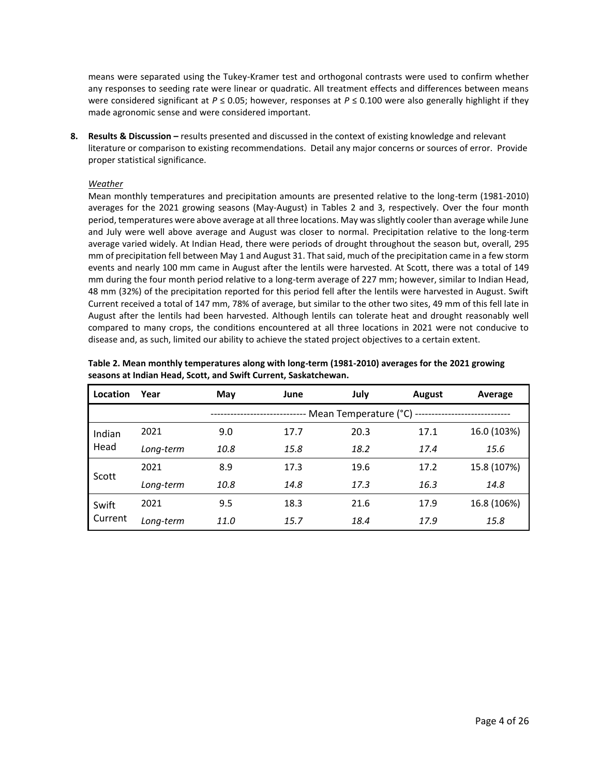means were separated using the Tukey-Kramer test and orthogonal contrasts were used to confirm whether any responses to seeding rate were linear or quadratic. All treatment effects and differences between means were considered significant at *P* ≤ 0.05; however, responses at *P* ≤ 0.100 were also generally highlight if they made agronomic sense and were considered important.

**8.** Results & Discussion – results presented and discussed in the context of existing knowledge and relevant literature or comparison to existing recommendations. Detail any major concerns or sources of error. Provide proper statistical significance.

# *Weather*

Mean monthly temperatures and precipitation amounts are presented relative to the long-term (1981-2010) averages for the 2021 growing seasons (May-August) in Tables 2 and 3, respectively. Over the four month period, temperatures were above average at all three locations. May was slightly cooler than average while June and July were well above average and August was closer to normal. Precipitation relative to the long-term average varied widely. At Indian Head, there were periods of drought throughout the season but, overall, 295 mm of precipitation fell between May 1 and August 31. That said, much of the precipitation came in a few storm events and nearly 100 mm came in August after the lentils were harvested. At Scott, there was a total of 149 mm during the four month period relative to a long-term average of 227 mm; however, similar to Indian Head, 48 mm (32%) of the precipitation reported for this period fell after the lentils were harvested in August. Swift Current received a total of 147 mm, 78% of average, but similar to the other two sites, 49 mm of this fell late in August after the lentils had been harvested. Although lentils can tolerate heat and drought reasonably well compared to many crops, the conditions encountered at all three locations in 2021 were not conducive to disease and, as such, limited our ability to achieve the stated project objectives to a certain extent.

| <b>Location</b> | Year      | May  | June | July                  | August | Average     |
|-----------------|-----------|------|------|-----------------------|--------|-------------|
|                 |           |      |      | Mean Temperature (°C) |        |             |
| Indian          | 2021      | 9.0  | 17.7 | 20.3                  | 17.1   | 16.0 (103%) |
| Head            | Long-term | 10.8 | 15.8 | 18.2                  | 17.4   | 15.6        |
|                 | 2021      | 8.9  | 17.3 | 19.6                  | 17.2   | 15.8 (107%) |
| Scott           | Long-term | 10.8 | 14.8 | 17.3                  | 16.3   | 14.8        |
| Swift           | 2021      | 9.5  | 18.3 | 21.6                  | 17.9   | 16.8 (106%) |
| Current         | Long-term | 11.0 | 15.7 | 18.4                  | 17.9   | 15.8        |

**Table 2. Mean monthly temperatures along with long-term (1981-2010) averages for the 2021 growing seasons at Indian Head, Scott, and Swift Current, Saskatchewan.**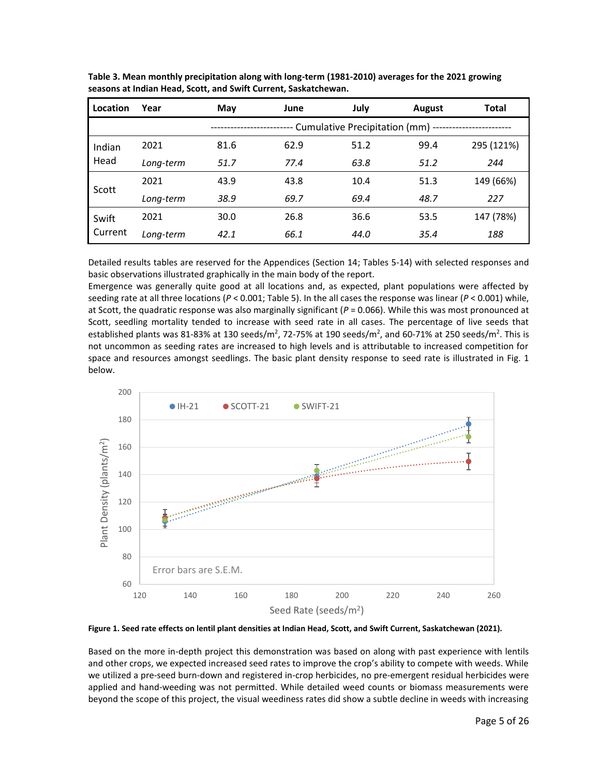| <b>Location</b> | Year      | May  | June | July                            | <b>August</b> | Total      |
|-----------------|-----------|------|------|---------------------------------|---------------|------------|
|                 |           |      |      | Cumulative Precipitation (mm) - |               |            |
| Indian          | 2021      | 81.6 | 62.9 | 51.2                            | 99.4          | 295 (121%) |
| Head            | Long-term | 51.7 | 77.4 | 63.8                            | 51.2          | 244        |
|                 | 2021      | 43.9 | 43.8 | 10.4                            | 51.3          | 149 (66%)  |
| Scott           | Long-term | 38.9 | 69.7 | 69.4                            | 48.7          | 227        |
| Swift           | 2021      | 30.0 | 26.8 | 36.6                            | 53.5          | 147 (78%)  |
| Current         | Long-term | 42.1 | 66.1 | 44.0                            | 35.4          | 188        |

**Table 3. Mean monthly precipitation along with long-term (1981-2010) averages for the 2021 growing seasons at Indian Head, Scott, and Swift Current, Saskatchewan.**

Detailed results tables are reserved for the Appendices (Section 14; Tables 5-14) with selected responses and basic observations illustrated graphically in the main body of the report.

Emergence was generally quite good at all locations and, as expected, plant populations were affected by seeding rate at all three locations (*P* < 0.001; Table 5). In the all cases the response was linear (*P* < 0.001) while, at Scott, the quadratic response was also marginally significant (*P* = 0.066). While this was most pronounced at Scott, seedling mortality tended to increase with seed rate in all cases. The percentage of live seeds that established plants was 81-83% at 130 seeds/m<sup>2</sup>, 72-75% at 190 seeds/m<sup>2</sup>, and 60-71% at 250 seeds/m<sup>2</sup>. This is not uncommon as seeding rates are increased to high levels and is attributable to increased competition for space and resources amongst seedlings. The basic plant density response to seed rate is illustrated in Fig. 1 below.



**Figure 1. Seed rate effects on lentil plant densities at Indian Head, Scott, and Swift Current, Saskatchewan (2021).**

Based on the more in-depth project this demonstration was based on along with past experience with lentils and other crops, we expected increased seed rates to improve the crop's ability to compete with weeds. While we utilized a pre-seed burn-down and registered in-crop herbicides, no pre-emergent residual herbicides were applied and hand-weeding was not permitted. While detailed weed counts or biomass measurements were beyond the scope of this project, the visual weediness rates did show a subtle decline in weeds with increasing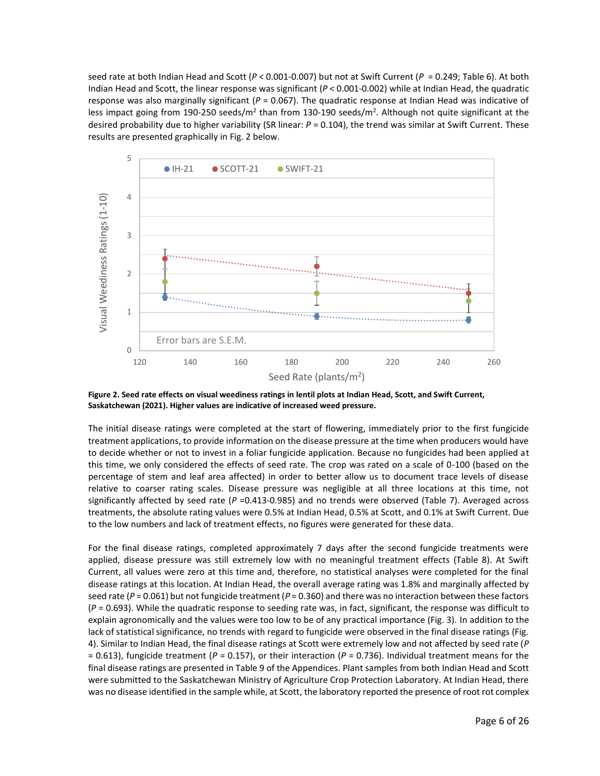seed rate at both Indian Head and Scott (*P* < 0.001-0.007) but not at Swift Current (*P* = 0.249; Table 6). At both Indian Head and Scott, the linear response was significant (*P* < 0.001-0.002) while at Indian Head, the quadratic response was also marginally significant (*P* = 0.067). The quadratic response at Indian Head was indicative of less impact going from 190-250 seeds/m<sup>2</sup> than from 130-190 seeds/m<sup>2</sup>. Although not quite significant at the desired probability due to higher variability (SR linear: *P* = 0.104), the trend was similar at Swift Current. These results are presented graphically in Fig. 2 below.



**Figure 2. Seed rate effects on visual weediness ratings in lentil plots at Indian Head, Scott, and Swift Current, Saskatchewan (2021). Higher values are indicative of increased weed pressure.**

The initial disease ratings were completed at the start of flowering, immediately prior to the first fungicide treatment applications, to provide information on the disease pressure at the time when producers would have to decide whether or not to invest in a foliar fungicide application. Because no fungicides had been applied at this time, we only considered the effects of seed rate. The crop was rated on a scale of 0-100 (based on the percentage of stem and leaf area affected) in order to better allow us to document trace levels of disease relative to coarser rating scales. Disease pressure was negligible at all three locations at this time, not significantly affected by seed rate (*P* =0.413-0.985) and no trends were observed (Table 7). Averaged across treatments, the absolute rating values were 0.5% at Indian Head, 0.5% at Scott, and 0.1% at Swift Current. Due to the low numbers and lack of treatment effects, no figures were generated for these data.

For the final disease ratings, completed approximately 7 days after the second fungicide treatments were applied, disease pressure was still extremely low with no meaningful treatment effects (Table 8). At Swift Current, all values were zero at this time and, therefore, no statistical analyses were completed for the final disease ratings at this location. At Indian Head, the overall average rating was 1.8% and marginally affected by seed rate ( $P = 0.061$ ) but not fungicide treatment ( $P = 0.360$ ) and there was no interaction between these factors (*P* = 0.693). While the quadratic response to seeding rate was, in fact, significant, the response was difficult to explain agronomically and the values were too low to be of any practical importance (Fig. 3). In addition to the lack of statistical significance, no trends with regard to fungicide were observed in the final disease ratings (Fig. 4). Similar to Indian Head, the final disease ratings at Scott were extremely low and not affected by seed rate (*P*   $= 0.613$ ), fungicide treatment ( $P = 0.157$ ), or their interaction ( $P = 0.736$ ). Individual treatment means for the final disease ratings are presented in Table 9 of the Appendices. Plant samples from both Indian Head and Scott were submitted to the Saskatchewan Ministry of Agriculture Crop Protection Laboratory. At Indian Head, there was no disease identified in the sample while, at Scott, the laboratory reported the presence of root rot complex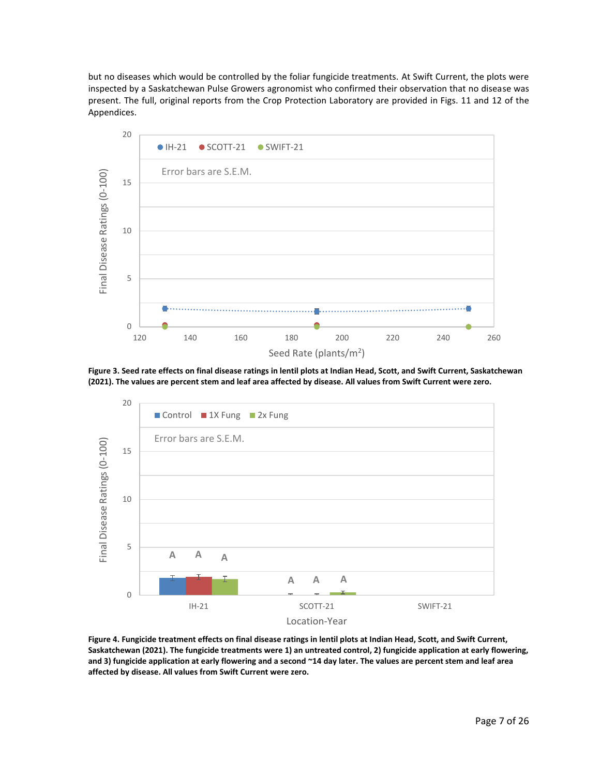but no diseases which would be controlled by the foliar fungicide treatments. At Swift Current, the plots were inspected by a Saskatchewan Pulse Growers agronomist who confirmed their observation that no disease was present. The full, original reports from the Crop Protection Laboratory are provided in Figs. 11 and 12 of the Appendices.



**Figure 3. Seed rate effects on final disease ratings in lentil plots at Indian Head, Scott, and Swift Current, Saskatchewan (2021). The values are percent stem and leaf area affected by disease. All values from Swift Current were zero.**



**Figure 4. Fungicide treatment effects on final disease ratings in lentil plots at Indian Head, Scott, and Swift Current, Saskatchewan (2021). The fungicide treatments were 1) an untreated control, 2) fungicide application at early flowering, and 3) fungicide application at early flowering and a second ~14 day later. The values are percent stem and leaf area affected by disease. All values from Swift Current were zero.**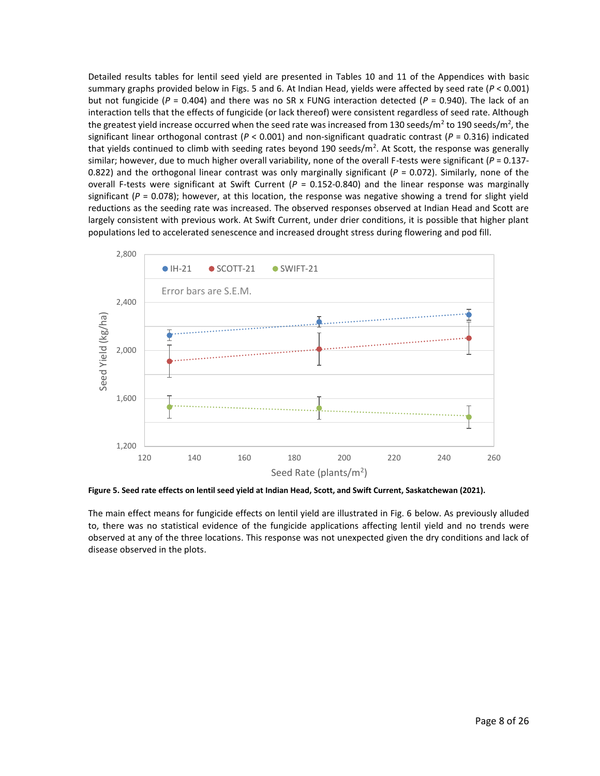Detailed results tables for lentil seed yield are presented in Tables 10 and 11 of the Appendices with basic summary graphs provided below in Figs. 5 and 6. At Indian Head, yields were affected by seed rate (*P* < 0.001) but not fungicide (*P* = 0.404) and there was no SR x FUNG interaction detected (*P* = 0.940). The lack of an interaction tells that the effects of fungicide (or lack thereof) were consistent regardless of seed rate. Although the greatest yield increase occurred when the seed rate was increased from 130 seeds/m<sup>2</sup> to 190 seeds/m<sup>2</sup>, the significant linear orthogonal contrast (*P* < 0.001) and non-significant quadratic contrast (*P* = 0.316) indicated that yields continued to climb with seeding rates beyond 190 seeds/m<sup>2</sup>. At Scott, the response was generally similar; however, due to much higher overall variability, none of the overall F-tests were significant (P = 0.137-0.822) and the orthogonal linear contrast was only marginally significant (*P* = 0.072). Similarly, none of the overall F-tests were significant at Swift Current (*P* = 0.152-0.840) and the linear response was marginally significant (*P* = 0.078); however, at this location, the response was negative showing a trend for slight yield reductions as the seeding rate was increased. The observed responses observed at Indian Head and Scott are largely consistent with previous work. At Swift Current, under drier conditions, it is possible that higher plant populations led to accelerated senescence and increased drought stress during flowering and pod fill.



**Figure 5. Seed rate effects on lentil seed yield at Indian Head, Scott, and Swift Current, Saskatchewan (2021).**

The main effect means for fungicide effects on lentil yield are illustrated in Fig. 6 below. As previously alluded to, there was no statistical evidence of the fungicide applications affecting lentil yield and no trends were observed at any of the three locations. This response was not unexpected given the dry conditions and lack of disease observed in the plots.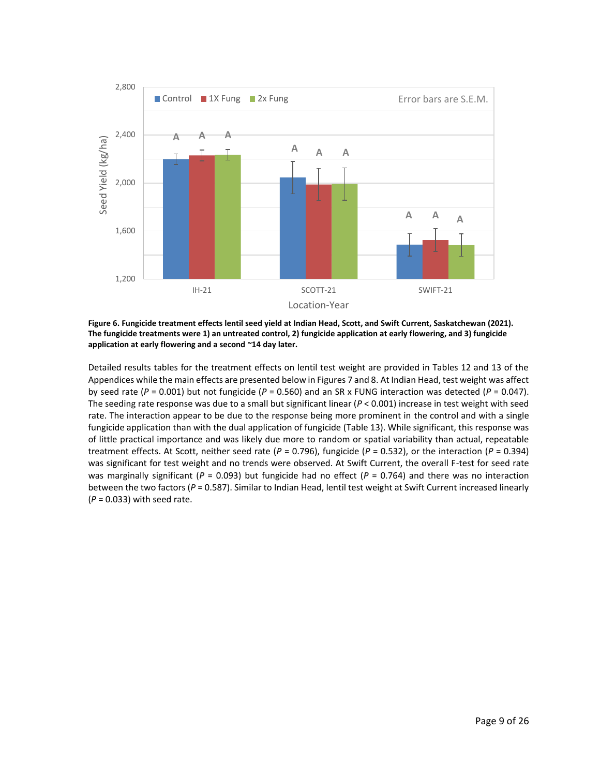

**Figure 6. Fungicide treatment effects lentil seed yield at Indian Head, Scott, and Swift Current, Saskatchewan (2021). The fungicide treatments were 1) an untreated control, 2) fungicide application at early flowering, and 3) fungicide application at early flowering and a second ~14 day later.**

Detailed results tables for the treatment effects on lentil test weight are provided in Tables 12 and 13 of the Appendices while the main effects are presented below in Figures 7 and 8. At Indian Head, test weight was affect by seed rate (*P* = 0.001) but not fungicide (*P* = 0.560) and an SR x FUNG interaction was detected (*P* = 0.047). The seeding rate response was due to a small but significant linear (*P* < 0.001) increase in test weight with seed rate. The interaction appear to be due to the response being more prominent in the control and with a single fungicide application than with the dual application of fungicide (Table 13). While significant, this response was of little practical importance and was likely due more to random or spatial variability than actual, repeatable treatment effects. At Scott, neither seed rate (*P* = 0.796), fungicide (*P* = 0.532), or the interaction (*P* = 0.394) was significant for test weight and no trends were observed. At Swift Current, the overall F-test for seed rate was marginally significant (*P* = 0.093) but fungicide had no effect (*P* = 0.764) and there was no interaction between the two factors ( $P = 0.587$ ). Similar to Indian Head, lentil test weight at Swift Current increased linearly (*P* = 0.033) with seed rate.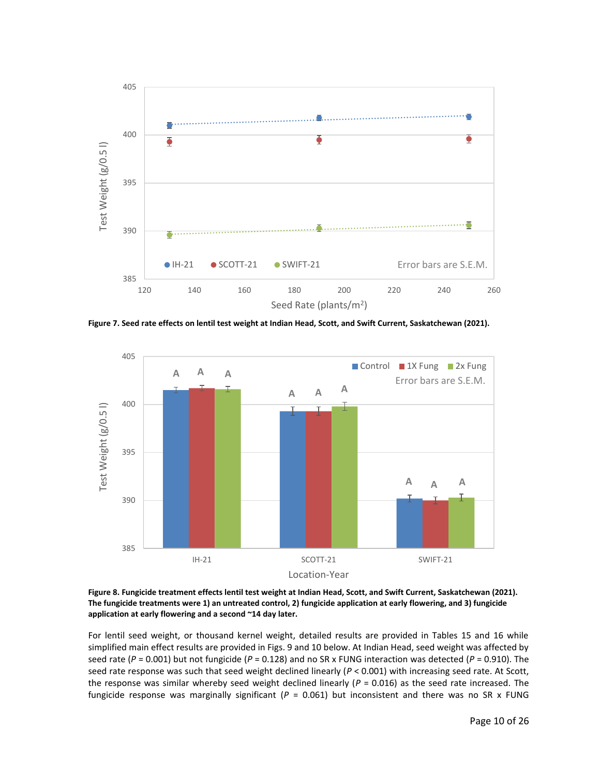

**Figure 7. Seed rate effects on lentil test weight at Indian Head, Scott, and Swift Current, Saskatchewan (2021).**



**Figure 8. Fungicide treatment effects lentil test weight at Indian Head, Scott, and Swift Current, Saskatchewan (2021). The fungicide treatments were 1) an untreated control, 2) fungicide application at early flowering, and 3) fungicide application at early flowering and a second ~14 day later.**

For lentil seed weight, or thousand kernel weight, detailed results are provided in Tables 15 and 16 while simplified main effect results are provided in Figs. 9 and 10 below. At Indian Head, seed weight was affected by seed rate (*P* = 0.001) but not fungicide (*P* = 0.128) and no SR x FUNG interaction was detected (*P* = 0.910). The seed rate response was such that seed weight declined linearly (*P* < 0.001) with increasing seed rate. At Scott, the response was similar whereby seed weight declined linearly (*P* = 0.016) as the seed rate increased. The fungicide response was marginally significant (*P* = 0.061) but inconsistent and there was no SR x FUNG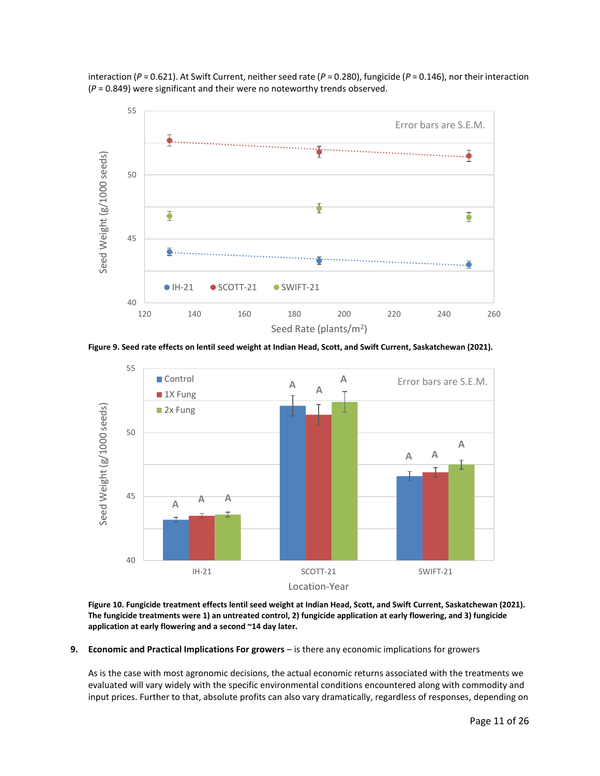interaction (*P* = 0.621). At Swift Current, neither seed rate (*P* = 0.280), fungicide (*P* = 0.146), nor their interaction (*P* = 0.849) were significant and their were no noteworthy trends observed.



**Figure 9. Seed rate effects on lentil seed weight at Indian Head, Scott, and Swift Current, Saskatchewan (2021).**



**Figure 10. Fungicide treatment effects lentil seed weight at Indian Head, Scott, and Swift Current, Saskatchewan (2021). The fungicide treatments were 1) an untreated control, 2) fungicide application at early flowering, and 3) fungicide application at early flowering and a second ~14 day later.**

**9. Economic and Practical Implications For growers** – is there any economic implications for growers

As is the case with most agronomic decisions, the actual economic returns associated with the treatments we evaluated will vary widely with the specific environmental conditions encountered along with commodity and input prices. Further to that, absolute profits can also vary dramatically, regardless of responses, depending on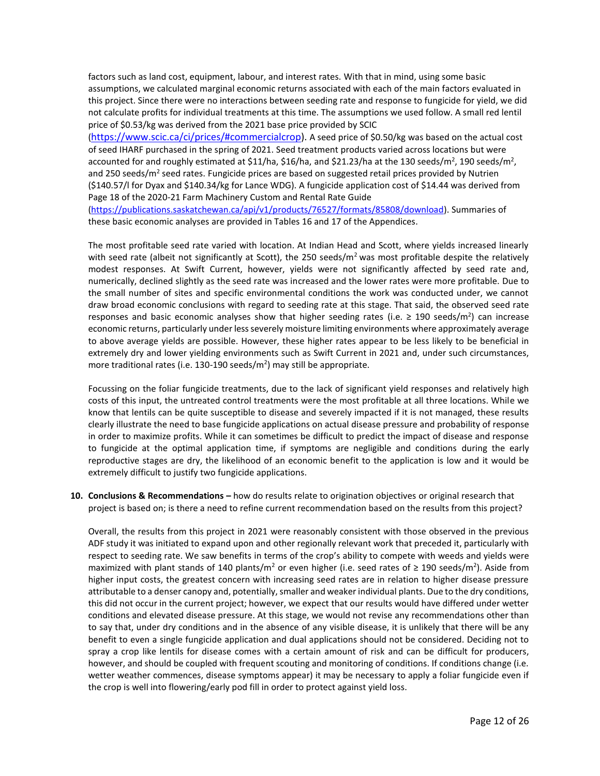factors such as land cost, equipment, labour, and interest rates. With that in mind, using some basic assumptions, we calculated marginal economic returns associated with each of the main factors evaluated in this project. Since there were no interactions between seeding rate and response to fungicide for yield, we did not calculate profits for individual treatments at this time. The assumptions we used follow. A small red lentil price of \$0.53/kg was derived from the 2021 base price provided by SCIC

([https://www.scic.ca/ci/prices/#commercialcrop\)](https://www.scic.ca/ci/prices/#commercialcrop). A seed price of \$0.50/kg was based on the actual cost of seed IHARF purchased in the spring of 2021. Seed treatment products varied across locations but were accounted for and roughly estimated at \$11/ha, \$16/ha, and \$21.23/ha at the 130 seeds/m<sup>2</sup>, 190 seeds/m<sup>2</sup>, and 250 seeds/m<sup>2</sup> seed rates. Fungicide prices are based on suggested retail prices provided by Nutrien (\$140.57/l for Dyax and \$140.34/kg for Lance WDG). A fungicide application cost of \$14.44 was derived from Page 18 of the 2020-21 Farm Machinery Custom and Rental Rate Guide

[\(https://publications.saskatchewan.ca/api/v1/products/76527/formats/85808/download\)](https://publications.saskatchewan.ca/api/v1/products/76527/formats/85808/download). Summaries of these basic economic analyses are provided in Tables 16 and 17 of the Appendices.

The most profitable seed rate varied with location. At Indian Head and Scott, where yields increased linearly with seed rate (albeit not significantly at Scott), the 250 seeds/ $m^2$  was most profitable despite the relatively modest responses. At Swift Current, however, yields were not significantly affected by seed rate and, numerically, declined slightly as the seed rate was increased and the lower rates were more profitable. Due to the small number of sites and specific environmental conditions the work was conducted under, we cannot draw broad economic conclusions with regard to seeding rate at this stage. That said, the observed seed rate responses and basic economic analyses show that higher seeding rates (i.e.  $\geq 190$  seeds/m<sup>2</sup>) can increase economic returns, particularly under less severely moisture limiting environments where approximately average to above average yields are possible. However, these higher rates appear to be less likely to be beneficial in extremely dry and lower yielding environments such as Swift Current in 2021 and, under such circumstances, more traditional rates (i.e. 130-190 seeds/m<sup>2</sup>) may still be appropriate.

Focussing on the foliar fungicide treatments, due to the lack of significant yield responses and relatively high costs of this input, the untreated control treatments were the most profitable at all three locations. While we know that lentils can be quite susceptible to disease and severely impacted if it is not managed, these results clearly illustrate the need to base fungicide applications on actual disease pressure and probability of response in order to maximize profits. While it can sometimes be difficult to predict the impact of disease and response to fungicide at the optimal application time, if symptoms are negligible and conditions during the early reproductive stages are dry, the likelihood of an economic benefit to the application is low and it would be extremely difficult to justify two fungicide applications.

**10. Conclusions & Recommendations –** how do results relate to origination objectives or original research that project is based on; is there a need to refine current recommendation based on the results from this project?

Overall, the results from this project in 2021 were reasonably consistent with those observed in the previous ADF study it was initiated to expand upon and other regionally relevant work that preceded it, particularly with respect to seeding rate. We saw benefits in terms of the crop's ability to compete with weeds and yields were maximized with plant stands of 140 plants/m<sup>2</sup> or even higher (i.e. seed rates of  $\geq 190$  seeds/m<sup>2</sup>). Aside from higher input costs, the greatest concern with increasing seed rates are in relation to higher disease pressure attributable to a denser canopy and, potentially, smaller and weaker individual plants. Due to the dry conditions, this did not occur in the current project; however, we expect that our results would have differed under wetter conditions and elevated disease pressure. At this stage, we would not revise any recommendations other than to say that, under dry conditions and in the absence of any visible disease, it is unlikely that there will be any benefit to even a single fungicide application and dual applications should not be considered. Deciding not to spray a crop like lentils for disease comes with a certain amount of risk and can be difficult for producers, however, and should be coupled with frequent scouting and monitoring of conditions. If conditions change (i.e. wetter weather commences, disease symptoms appear) it may be necessary to apply a foliar fungicide even if the crop is well into flowering/early pod fill in order to protect against yield loss.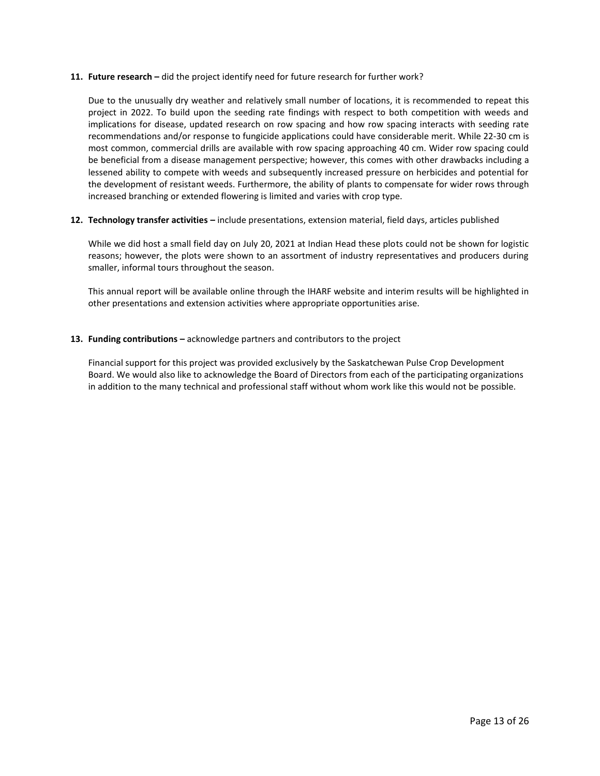## **11. Future research –** did the project identify need for future research for further work?

Due to the unusually dry weather and relatively small number of locations, it is recommended to repeat this project in 2022. To build upon the seeding rate findings with respect to both competition with weeds and implications for disease, updated research on row spacing and how row spacing interacts with seeding rate recommendations and/or response to fungicide applications could have considerable merit. While 22-30 cm is most common, commercial drills are available with row spacing approaching 40 cm. Wider row spacing could be beneficial from a disease management perspective; however, this comes with other drawbacks including a lessened ability to compete with weeds and subsequently increased pressure on herbicides and potential for the development of resistant weeds. Furthermore, the ability of plants to compensate for wider rows through increased branching or extended flowering is limited and varies with crop type.

**12. Technology transfer activities –** include presentations, extension material, field days, articles published

While we did host a small field day on July 20, 2021 at Indian Head these plots could not be shown for logistic reasons; however, the plots were shown to an assortment of industry representatives and producers during smaller, informal tours throughout the season.

This annual report will be available online through the IHARF website and interim results will be highlighted in other presentations and extension activities where appropriate opportunities arise.

# **13. Funding contributions –** acknowledge partners and contributors to the project

Financial support for this project was provided exclusively by the Saskatchewan Pulse Crop Development Board. We would also like to acknowledge the Board of Directors from each of the participating organizations in addition to the many technical and professional staff without whom work like this would not be possible.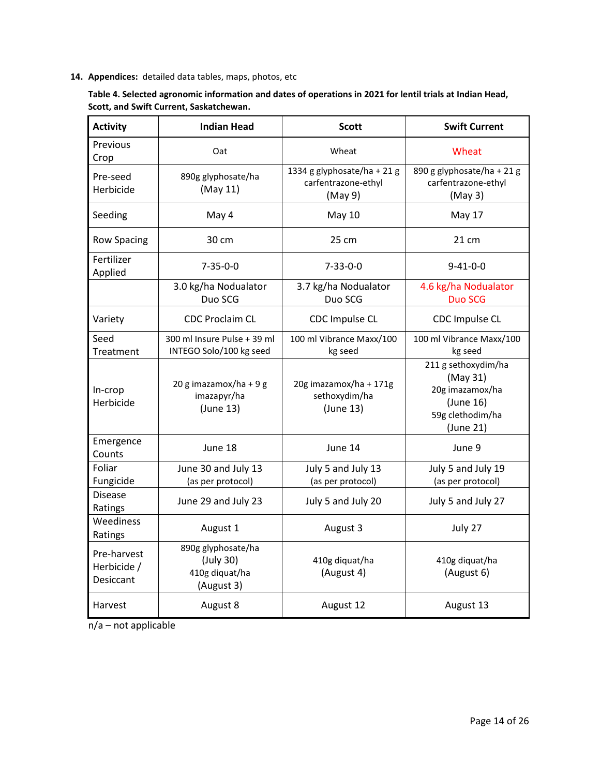**14. Appendices:** detailed data tables, maps, photos, etc

| Table 4. Selected agronomic information and dates of operations in 2021 for lentil trials at Indian Head, |
|-----------------------------------------------------------------------------------------------------------|
| Scott, and Swift Current, Saskatchewan.                                                                   |

| <b>Activity</b>                         | <b>Indian Head</b>                                              | <b>Scott</b>                                                  | <b>Swift Current</b>                                                                             |
|-----------------------------------------|-----------------------------------------------------------------|---------------------------------------------------------------|--------------------------------------------------------------------------------------------------|
| Previous<br>Crop                        | Oat                                                             | Wheat                                                         | Wheat                                                                                            |
| Pre-seed<br>Herbicide                   | 890g glyphosate/ha<br>(May 11)                                  | 1334 g glyphosate/ha + 21 g<br>carfentrazone-ethyl<br>(May 9) | 890 g glyphosate/ha + 21 g<br>carfentrazone-ethyl<br>(May 3)                                     |
| Seeding                                 | May 4                                                           | <b>May 10</b>                                                 | May 17                                                                                           |
| <b>Row Spacing</b>                      | 30 cm                                                           | 25 cm                                                         | 21 cm                                                                                            |
| Fertilizer<br>Applied                   | $7 - 35 - 0 - 0$                                                | $7 - 33 - 0 - 0$                                              | $9 - 41 - 0 - 0$                                                                                 |
|                                         | 3.0 kg/ha Nodualator<br>Duo SCG                                 | 3.7 kg/ha Nodualator<br>Duo SCG                               | 4.6 kg/ha Nodualator<br><b>Duo SCG</b>                                                           |
| Variety                                 | <b>CDC Proclaim CL</b>                                          | CDC Impulse CL                                                | CDC Impulse CL                                                                                   |
| Seed<br>Treatment                       | 300 ml Insure Pulse + 39 ml<br>INTEGO Solo/100 kg seed          | 100 ml Vibrance Maxx/100<br>kg seed                           | 100 ml Vibrance Maxx/100<br>kg seed                                                              |
| In-crop<br>Herbicide                    | 20 g imazamox/ha + 9 g<br>imazapyr/ha<br>(June 13)              | 20g imazamox/ha + 171g<br>sethoxydim/ha<br>(June 13)          | 211 g sethoxydim/ha<br>(May 31)<br>20g imazamox/ha<br>(June 16)<br>59g clethodim/ha<br>(June 21) |
| Emergence<br>Counts                     | June 18                                                         | June 14                                                       | June 9                                                                                           |
| Foliar<br>Fungicide                     | June 30 and July 13<br>(as per protocol)                        | July 5 and July 13<br>(as per protocol)                       | July 5 and July 19<br>(as per protocol)                                                          |
| <b>Disease</b><br>Ratings               | June 29 and July 23                                             | July 5 and July 20                                            | July 5 and July 27                                                                               |
| Weediness<br>Ratings                    | August 1                                                        | August 3                                                      | July 27                                                                                          |
| Pre-harvest<br>Herbicide /<br>Desiccant | 890g glyphosate/ha<br>(July 30)<br>410g diquat/ha<br>(August 3) | 410g diquat/ha<br>(August 4)                                  | 410g diquat/ha<br>(August 6)                                                                     |
| Harvest                                 | August 8                                                        | August 12                                                     | August 13                                                                                        |

n/a – not applicable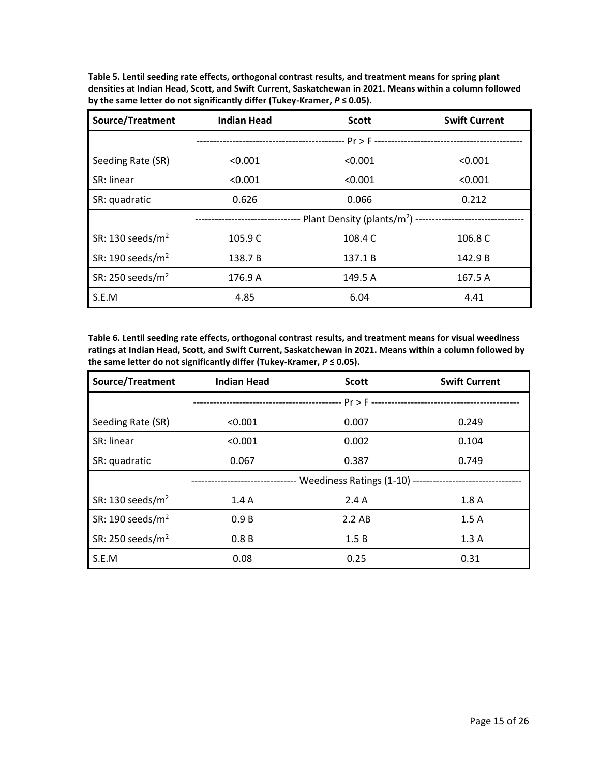**Table 5. Lentil seeding rate effects, orthogonal contrast results, and treatment means for spring plant densities at Indian Head, Scott, and Swift Current, Saskatchewan in 2021. Means within a column followed by the same letter do not significantly differ (Tukey-Kramer,** *P* **≤ 0.05).**

| Source/Treatment             | <b>Indian Head</b>             | <b>Scott</b> | <b>Swift Current</b> |
|------------------------------|--------------------------------|--------------|----------------------|
|                              |                                |              |                      |
| Seeding Rate (SR)            | < 0.001                        | < 0.001      | < 0.001              |
| SR: linear                   | < 0.001                        | < 0.001      | < 0.001              |
| SR: quadratic                | 0.626                          | 0.066        | 0.212                |
|                              | ------------------------------ |              |                      |
| SR: 130 seeds/ $m2$          | 105.9 C                        | 108.4 C      | 106.8 C              |
| SR: 190 seeds/m <sup>2</sup> | 138.7 B                        | 137.1 B      | 142.9 B              |
| SR: 250 seeds/ $m2$          | 176.9 A                        | 149.5 A      | 167.5 A              |
| S.E.M                        | 4.85                           | 6.04         | 4.41                 |

**Table 6. Lentil seeding rate effects, orthogonal contrast results, and treatment means for visual weediness ratings at Indian Head, Scott, and Swift Current, Saskatchewan in 2021. Means within a column followed by the same letter do not significantly differ (Tukey-Kramer,** *P* **≤ 0.05).**

| Source/Treatment             | <b>Indian Head</b>                                                                       | <b>Scott</b> | <b>Swift Current</b> |
|------------------------------|------------------------------------------------------------------------------------------|--------------|----------------------|
|                              |                                                                                          |              |                      |
| Seeding Rate (SR)            | < 0.001                                                                                  | 0.007        | 0.249                |
| SR: linear                   | < 0.001                                                                                  | 0.002        | 0.104                |
| SR: quadratic                | 0.067                                                                                    | 0.387        | 0.749                |
|                              | ------------------------------- Weediness Ratings (1-10) ------------------------------- |              |                      |
| SR: 130 seeds/m <sup>2</sup> | 1.4A                                                                                     | 2.4A         | 1.8A                 |
| SR: 190 seeds/m <sup>2</sup> | 0.9B                                                                                     | 2.2 AB       | 1.5A                 |
| SR: 250 seeds/ $m2$          | 0.8B                                                                                     | 1.5B         | 1.3A                 |
| S.E.M                        | 0.08                                                                                     | 0.25         | 0.31                 |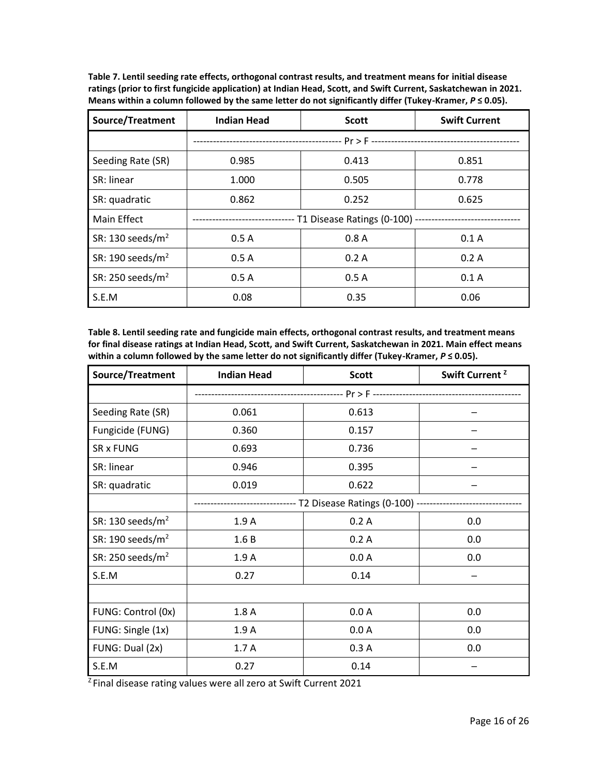| Table 7. Lentil seeding rate effects, orthogonal contrast results, and treatment means for initial disease     |
|----------------------------------------------------------------------------------------------------------------|
| ratings (prior to first fungicide application) at Indian Head, Scott, and Swift Current, Saskatchewan in 2021. |
| Means within a column followed by the same letter do not significantly differ (Tukey-Kramer, $P \le 0.05$ ).   |

| Source/Treatment             | <b>Indian Head</b>                                                                       | <b>Scott</b> | <b>Swift Current</b> |  |
|------------------------------|------------------------------------------------------------------------------------------|--------------|----------------------|--|
|                              |                                                                                          |              |                      |  |
| Seeding Rate (SR)            | 0.985                                                                                    | 0.413        | 0.851                |  |
| SR: linear                   | 1.000                                                                                    | 0.505        | 0.778                |  |
| SR: quadratic                | 0.862                                                                                    | 0.252        | 0.625                |  |
| Main Effect                  | ------------------------------ T1 Disease Ratings (0-100) ------------------------------ |              |                      |  |
| SR: 130 seeds/ $m2$          | 0.5A                                                                                     | 0.8A         | 0.1A                 |  |
| SR: 190 seeds/m <sup>2</sup> | 0.5A                                                                                     | 0.2A         | 0.2A                 |  |
| SR: 250 seeds/ $m2$          | 0.5A                                                                                     | 0.5A         | 0.1A                 |  |
| S.E.M                        | 0.08                                                                                     | 0.35         | 0.06                 |  |

**Table 8. Lentil seeding rate and fungicide main effects, orthogonal contrast results, and treatment means for final disease ratings at Indian Head, Scott, and Swift Current, Saskatchewan in 2021. Main effect means within a column followed by the same letter do not significantly differ (Tukey-Kramer,** *P* **≤ 0.05).**

| Source/Treatment             | <b>Indian Head</b>                                               | <b>Scott</b> | Swift Current <sup>2</sup> |  |
|------------------------------|------------------------------------------------------------------|--------------|----------------------------|--|
|                              |                                                                  |              |                            |  |
| Seeding Rate (SR)            | 0.061                                                            | 0.613        |                            |  |
| Fungicide (FUNG)             | 0.360                                                            | 0.157        |                            |  |
| SR x FUNG                    | 0.693                                                            | 0.736        |                            |  |
| SR: linear                   | 0.946                                                            | 0.395        |                            |  |
| SR: quadratic                | 0.019                                                            | 0.622        |                            |  |
|                              | ---------------- T2 Disease Ratings (0-100) -------------------- |              |                            |  |
| SR: 130 seeds/ $m2$          | 1.9A                                                             | 0.2A         | 0.0                        |  |
| SR: 190 seeds/m <sup>2</sup> | 1.6B                                                             | 0.2A         | 0.0                        |  |
| SR: 250 seeds/ $m2$          | 1.9A                                                             | 0.0A         | 0.0                        |  |
| S.E.M                        | 0.27                                                             | 0.14         |                            |  |
|                              |                                                                  |              |                            |  |
| FUNG: Control (0x)           | 1.8A                                                             | 0.0A         | 0.0                        |  |
| FUNG: Single (1x)            | 1.9A                                                             | 0.0A         | 0.0                        |  |
| FUNG: Dual (2x)              | 1.7A                                                             | 0.3A         | 0.0                        |  |
| S.E.M                        | 0.27                                                             | 0.14         |                            |  |

 $2$  Final disease rating values were all zero at Swift Current 2021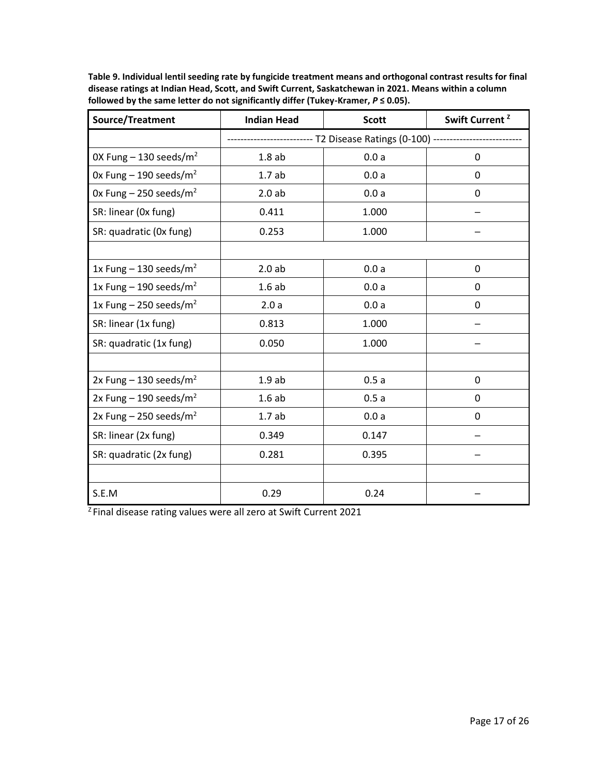| Source/Treatment                     | <b>Indian Head</b>                                     | <b>Scott</b> | Swift Current <sup>2</sup> |  |
|--------------------------------------|--------------------------------------------------------|--------------|----------------------------|--|
|                                      | ------------ T2 Disease Ratings (0-100) -------------- |              |                            |  |
| OX Fung $-$ 130 seeds/m <sup>2</sup> | 1.8ab                                                  | 0.0a         | 0                          |  |
| Ox Fung $-$ 190 seeds/m <sup>2</sup> | 1.7ab                                                  | 0.0a         | 0                          |  |
| Ox Fung $-$ 250 seeds/m <sup>2</sup> | 2.0ab                                                  | 0.0a         | 0                          |  |
| SR: linear (Ox fung)                 | 0.411                                                  | 1.000        |                            |  |
| SR: quadratic (0x fung)              | 0.253                                                  | 1.000        |                            |  |
|                                      |                                                        |              |                            |  |
| 1x Fung – 130 seeds/ $m2$            | 2.0ab                                                  | 0.0a         | 0                          |  |
| 1x Fung – 190 seeds/ $m^2$           | 1.6ab                                                  | 0.0a         | 0                          |  |
| 1x Fung $-$ 250 seeds/m <sup>2</sup> | 2.0a                                                   | 0.0a         | 0                          |  |
| SR: linear (1x fung)                 | 0.813                                                  | 1.000        |                            |  |
| SR: quadratic (1x fung)              | 0.050                                                  | 1.000        |                            |  |
|                                      |                                                        |              |                            |  |
| 2x Fung $-$ 130 seeds/m <sup>2</sup> | 1.9ab                                                  | 0.5a         | 0                          |  |
| 2x Fung $-$ 190 seeds/m <sup>2</sup> | 1.6ab                                                  | 0.5a         | 0                          |  |
| 2x Fung – 250 seeds/ $m^2$           | 1.7ab                                                  | 0.0a         | 0                          |  |
| SR: linear (2x fung)                 | 0.349                                                  | 0.147        |                            |  |
| SR: quadratic (2x fung)              | 0.281                                                  | 0.395        |                            |  |
|                                      |                                                        |              |                            |  |
| S.E.M                                | 0.29                                                   | 0.24         |                            |  |

**Table 9. Individual lentil seeding rate by fungicide treatment means and orthogonal contrast results for final disease ratings at Indian Head, Scott, and Swift Current, Saskatchewan in 2021. Means within a column**  followed by the same letter do not significantly differ (Tukey-Kramer,  $P \le 0.05$ ).

 $2$  Final disease rating values were all zero at Swift Current 2021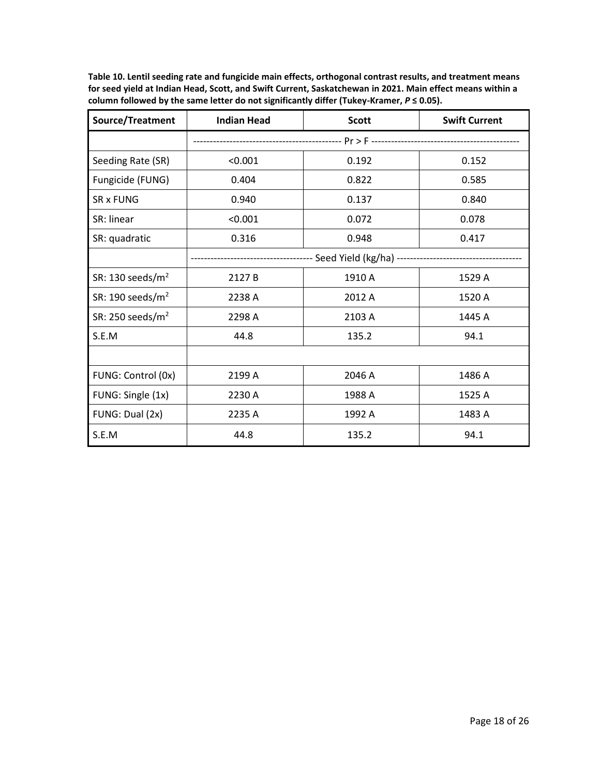| Source/Treatment    | <b>Indian Head</b>                                                          | <b>Scott</b> | <b>Swift Current</b> |  |
|---------------------|-----------------------------------------------------------------------------|--------------|----------------------|--|
|                     |                                                                             |              |                      |  |
| Seeding Rate (SR)   | < 0.001                                                                     | 0.192        | 0.152                |  |
| Fungicide (FUNG)    | 0.404                                                                       | 0.822        | 0.585                |  |
| <b>SR x FUNG</b>    | 0.940                                                                       | 0.137        | 0.840                |  |
| SR: linear          | < 0.001                                                                     | 0.072        | 0.078                |  |
| SR: quadratic       | 0.316                                                                       | 0.948        | 0.417                |  |
|                     | -------------------    Seed Yield (kg/ha)    ------------------------------ |              |                      |  |
| SR: 130 seeds/ $m2$ | 2127B                                                                       | 1910 A       | 1529 A               |  |
| SR: 190 seeds/ $m2$ | 2238 A                                                                      | 2012 A       | 1520 A               |  |
| SR: 250 seeds/ $m2$ | 2298 A                                                                      | 2103 A       | 1445 A               |  |
| S.E.M               | 44.8                                                                        | 135.2        | 94.1                 |  |
|                     |                                                                             |              |                      |  |
| FUNG: Control (0x)  | 2199 A                                                                      | 2046 A       | 1486 A               |  |
| FUNG: Single (1x)   | 2230 A                                                                      | 1988 A       | 1525 A               |  |
| FUNG: Dual (2x)     | 2235 A                                                                      | 1992 A       | 1483 A               |  |
| S.E.M               | 44.8                                                                        | 135.2        | 94.1                 |  |

**Table 10. Lentil seeding rate and fungicide main effects, orthogonal contrast results, and treatment means for seed yield at Indian Head, Scott, and Swift Current, Saskatchewan in 2021. Main effect means within a column followed by the same letter do not significantly differ (Tukey-Kramer,** *P* **≤ 0.05).**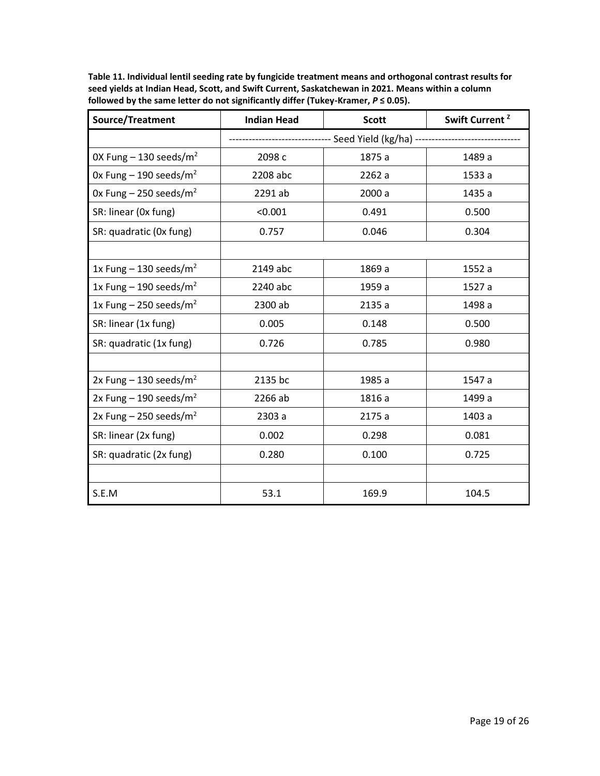| Source/Treatment                     | <b>Indian Head</b> | <b>Scott</b> | Swift Current <sup>2</sup> |
|--------------------------------------|--------------------|--------------|----------------------------|
|                                      |                    |              |                            |
| OX Fung $-$ 130 seeds/m <sup>2</sup> | 2098 c             | 1875 a       | 1489 a                     |
| Ox Fung $-$ 190 seeds/m <sup>2</sup> | 2208 abc           | 2262 a       | 1533 a                     |
| Ox Fung $-$ 250 seeds/m <sup>2</sup> | 2291 ab            | 2000 a       | 1435 a                     |
| SR: linear (Ox fung)                 | < 0.001            | 0.491        | 0.500                      |
| SR: quadratic (0x fung)              | 0.757              | 0.046        | 0.304                      |
|                                      |                    |              |                            |
| 1x Fung – 130 seeds/ $m2$            | 2149 abc           | 1869 a       | 1552 a                     |
| 1x Fung $-$ 190 seeds/m <sup>2</sup> | 2240 abc           | 1959 a       | 1527 a                     |
| 1x Fung $-$ 250 seeds/m <sup>2</sup> | 2300 ab            | 2135 a       | 1498 a                     |
| SR: linear (1x fung)                 | 0.005              | 0.148        | 0.500                      |
| SR: quadratic (1x fung)              | 0.726              | 0.785        | 0.980                      |
|                                      |                    |              |                            |
| 2x Fung $-$ 130 seeds/m <sup>2</sup> | 2135 bc            | 1985 a       | 1547 a                     |
| 2x Fung $-$ 190 seeds/m <sup>2</sup> | 2266 ab            | 1816 a       | 1499 a                     |
| 2x Fung $-$ 250 seeds/m <sup>2</sup> | 2303 a             | 2175 a       | 1403 a                     |
| SR: linear (2x fung)                 | 0.002              | 0.298        | 0.081                      |
| SR: quadratic (2x fung)              | 0.280              | 0.100        | 0.725                      |
|                                      |                    |              |                            |
| S.E.M                                | 53.1               | 169.9        | 104.5                      |

**Table 11. Individual lentil seeding rate by fungicide treatment means and orthogonal contrast results for seed yields at Indian Head, Scott, and Swift Current, Saskatchewan in 2021. Means within a column**  followed by the same letter do not significantly differ (Tukey-Kramer,  $P \le 0.05$ ).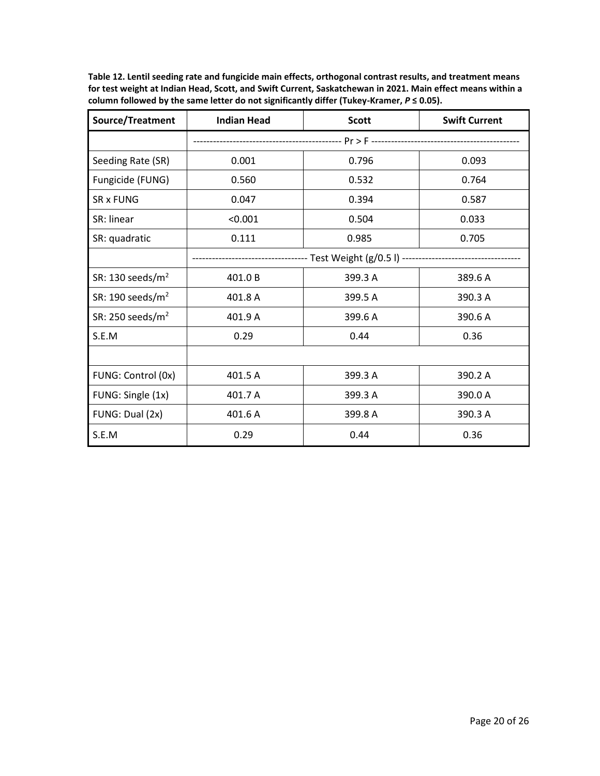| Source/Treatment    | <b>Indian Head</b> | <b>Scott</b> | <b>Swift Current</b> |
|---------------------|--------------------|--------------|----------------------|
|                     |                    |              |                      |
| Seeding Rate (SR)   | 0.001              | 0.796        | 0.093                |
| Fungicide (FUNG)    | 0.560              | 0.532        | 0.764                |
| <b>SR x FUNG</b>    | 0.047              | 0.394        | 0.587                |
| SR: linear          | < 0.001            | 0.504        | 0.033                |
| SR: quadratic       | 0.111              | 0.985        | 0.705                |
|                     |                    |              |                      |
| SR: 130 seeds/ $m2$ | 401.0 B            | 399.3 A      | 389.6 A              |
| SR: 190 seeds/ $m2$ | 401.8 A            | 399.5 A      | 390.3 A              |
| SR: 250 seeds/ $m2$ | 401.9 A            | 399.6 A      | 390.6 A              |
| S.E.M               | 0.29               | 0.44         | 0.36                 |
|                     |                    |              |                      |
| FUNG: Control (0x)  | 401.5 A            | 399.3 A      | 390.2 A              |
| FUNG: Single (1x)   | 401.7 A            | 399.3 A      | 390.0 A              |
| FUNG: Dual (2x)     | 401.6 A            | 399.8 A      | 390.3 A              |
| S.E.M               | 0.29               | 0.44         | 0.36                 |

**Table 12. Lentil seeding rate and fungicide main effects, orthogonal contrast results, and treatment means for test weight at Indian Head, Scott, and Swift Current, Saskatchewan in 2021. Main effect means within a column followed by the same letter do not significantly differ (Tukey-Kramer,** *P* **≤ 0.05).**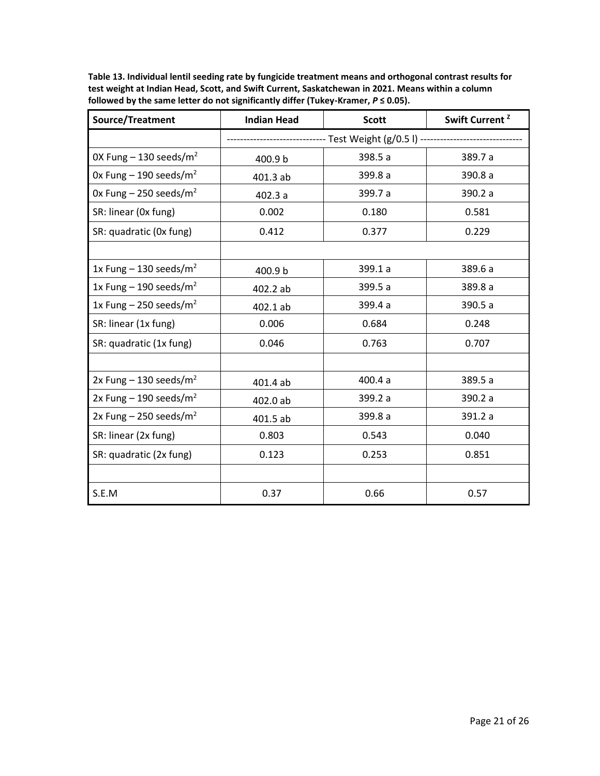| Source/Treatment                     | <b>Indian Head</b>                                                       | <b>Scott</b> | Swift Current <sup>2</sup> |
|--------------------------------------|--------------------------------------------------------------------------|--------------|----------------------------|
|                                      | ------------------ Test Weight (g/0.5 l) ------------------------------- |              |                            |
| OX Fung $-$ 130 seeds/m <sup>2</sup> | 400.9 b                                                                  | 398.5 a      | 389.7 a                    |
| Ox Fung $-$ 190 seeds/m <sup>2</sup> | 401.3 ab                                                                 | 399.8 a      | 390.8 a                    |
| Ox Fung $-$ 250 seeds/m <sup>2</sup> | 402.3 a                                                                  | 399.7 a      | 390.2 a                    |
| SR: linear (Ox fung)                 | 0.002                                                                    | 0.180        | 0.581                      |
| SR: quadratic (0x fung)              | 0.412                                                                    | 0.377        | 0.229                      |
|                                      |                                                                          |              |                            |
| 1x Fung – 130 seeds/ $m2$            | 400.9 b                                                                  | 399.1 a      | 389.6 a                    |
| 1x Fung – 190 seeds/ $m^2$           | 402.2 ab                                                                 | 399.5 a      | 389.8 a                    |
| 1x Fung $-$ 250 seeds/m <sup>2</sup> | 402.1 ab                                                                 | 399.4 a      | 390.5 a                    |
| SR: linear (1x fung)                 | 0.006                                                                    | 0.684        | 0.248                      |
| SR: quadratic (1x fung)              | 0.046                                                                    | 0.763        | 0.707                      |
|                                      |                                                                          |              |                            |
| 2x Fung $-$ 130 seeds/m <sup>2</sup> | 401.4 ab                                                                 | 400.4 a      | 389.5 a                    |
| 2x Fung $-$ 190 seeds/m <sup>2</sup> | 402.0 ab                                                                 | 399.2 a      | 390.2 a                    |
| 2x Fung – 250 seeds/ $m^2$           | 401.5 ab                                                                 | 399.8 a      | 391.2 a                    |
| SR: linear (2x fung)                 | 0.803                                                                    | 0.543        | 0.040                      |
| SR: quadratic (2x fung)              | 0.123                                                                    | 0.253        | 0.851                      |
|                                      |                                                                          |              |                            |
| S.E.M                                | 0.37                                                                     | 0.66         | 0.57                       |

**Table 13. Individual lentil seeding rate by fungicide treatment means and orthogonal contrast results for test weight at Indian Head, Scott, and Swift Current, Saskatchewan in 2021. Means within a column**  followed by the same letter do not significantly differ (Tukey-Kramer,  $P \le 0.05$ ).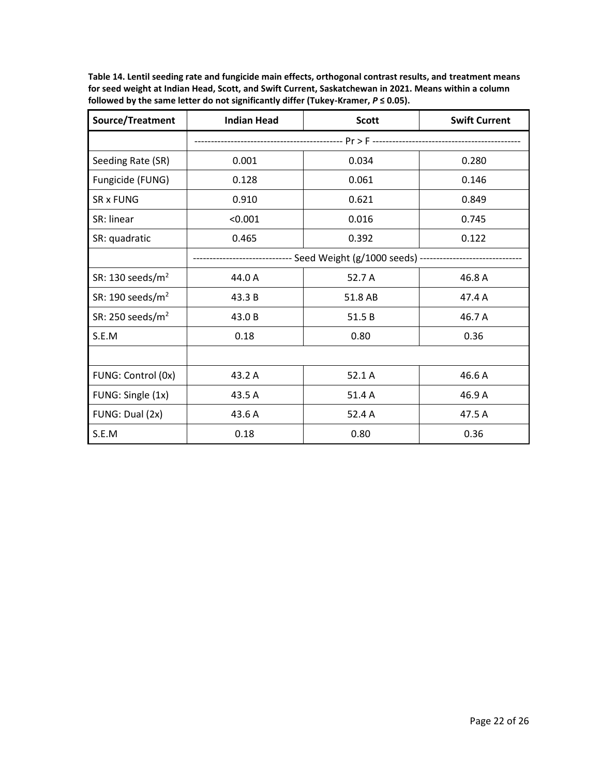| Source/Treatment    | <b>Indian Head</b>                                           | <b>Scott</b> | <b>Swift Current</b> |
|---------------------|--------------------------------------------------------------|--------------|----------------------|
|                     |                                                              |              |                      |
| Seeding Rate (SR)   | 0.001                                                        | 0.034        | 0.280                |
| Fungicide (FUNG)    | 0.128                                                        | 0.061        | 0.146                |
| SR x FUNG           | 0.910                                                        | 0.621        | 0.849                |
| SR: linear          | < 0.001                                                      | 0.016        | 0.745                |
| SR: quadratic       | 0.465                                                        | 0.392        | 0.122                |
|                     | ----------- Seed Weight (g/1000 seeds) --------------------- |              |                      |
| SR: 130 seeds/ $m2$ | 44.0 A                                                       | 52.7 A       | 46.8 A               |
| SR: 190 seeds/ $m2$ | 43.3 B                                                       | 51.8 AB      | 47.4 A               |
| SR: 250 seeds/ $m2$ | 43.0 B                                                       | 51.5 B       | 46.7 A               |
| S.E.M               | 0.18                                                         | 0.80         | 0.36                 |
|                     |                                                              |              |                      |
| FUNG: Control (0x)  | 43.2 A                                                       | 52.1 A       | 46.6 A               |
| FUNG: Single (1x)   | 43.5 A                                                       | 51.4 A       | 46.9 A               |
| FUNG: Dual (2x)     | 43.6 A                                                       | 52.4 A       | 47.5 A               |
| S.E.M               | 0.18                                                         | 0.80         | 0.36                 |

**Table 14. Lentil seeding rate and fungicide main effects, orthogonal contrast results, and treatment means for seed weight at Indian Head, Scott, and Swift Current, Saskatchewan in 2021. Means within a column**  followed by the same letter do not significantly differ (Tukey-Kramer,  $P \le 0.05$ ).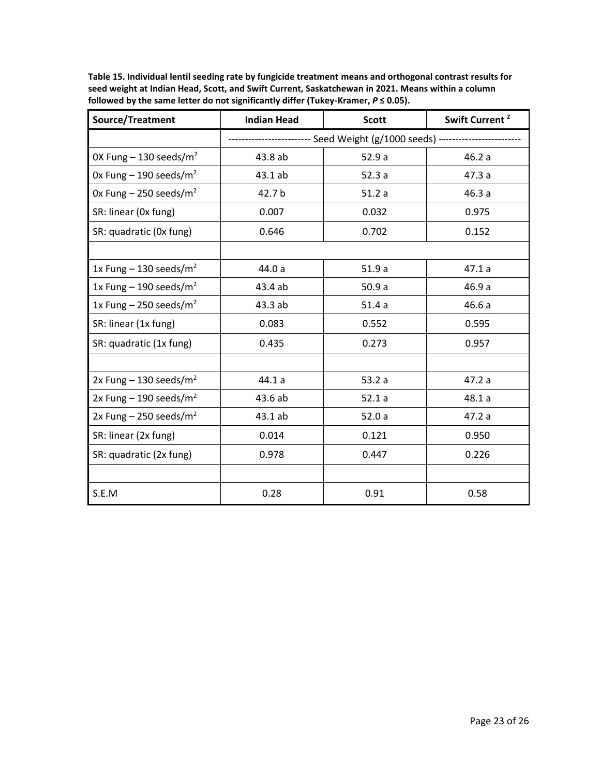| Source/Treatment                     | <b>Indian Head</b>                                                   | <b>Scott</b> | Swift Current <sup>2</sup> |
|--------------------------------------|----------------------------------------------------------------------|--------------|----------------------------|
|                                      | ---------------- Seed Weight (g/1000 seeds) ------------------------ |              |                            |
| OX Fung $-$ 130 seeds/m <sup>2</sup> | 43.8 ab                                                              | 52.9a        | 46.2a                      |
| Ox Fung $-$ 190 seeds/m <sup>2</sup> | 43.1 ab                                                              | 52.3a        | 47.3a                      |
| Ox Fung $-$ 250 seeds/m <sup>2</sup> | 42.7 b                                                               | 51.2a        | 46.3a                      |
| SR: linear (Ox fung)                 | 0.007                                                                | 0.032        | 0.975                      |
| SR: quadratic (0x fung)              | 0.646                                                                | 0.702        | 0.152                      |
|                                      |                                                                      |              |                            |
| 1x Fung $-$ 130 seeds/m <sup>2</sup> | 44.0 a                                                               | 51.9a        | 47.1a                      |
| 1x Fung – 190 seeds/ $m^2$           | 43.4 ab                                                              | 50.9a        | 46.9 a                     |
| 1x Fung $-$ 250 seeds/m <sup>2</sup> | 43.3 ab                                                              | 51.4a        | 46.6 a                     |
| SR: linear (1x fung)                 | 0.083                                                                | 0.552        | 0.595                      |
| SR: quadratic (1x fung)              | 0.435                                                                | 0.273        | 0.957                      |
|                                      |                                                                      |              |                            |
| 2x Fung $-$ 130 seeds/m <sup>2</sup> | 44.1a                                                                | 53.2a        | 47.2a                      |
| 2x Fung $-$ 190 seeds/m <sup>2</sup> | 43.6 ab                                                              | 52.1a        | 48.1a                      |
| 2x Fung $-$ 250 seeds/m <sup>2</sup> | 43.1 ab                                                              | 52.0a        | 47.2a                      |
| SR: linear (2x fung)                 | 0.014                                                                | 0.121        | 0.950                      |
| SR: quadratic (2x fung)              | 0.978                                                                | 0.447        | 0.226                      |
|                                      |                                                                      |              |                            |
| S.E.M                                | 0.28                                                                 | 0.91         | 0.58                       |

**Table 15. Individual lentil seeding rate by fungicide treatment means and orthogonal contrast results for seed weight at Indian Head, Scott, and Swift Current, Saskatchewan in 2021. Means within a column**  followed by the same letter do not significantly differ (Tukey-Kramer,  $P \le 0.05$ ).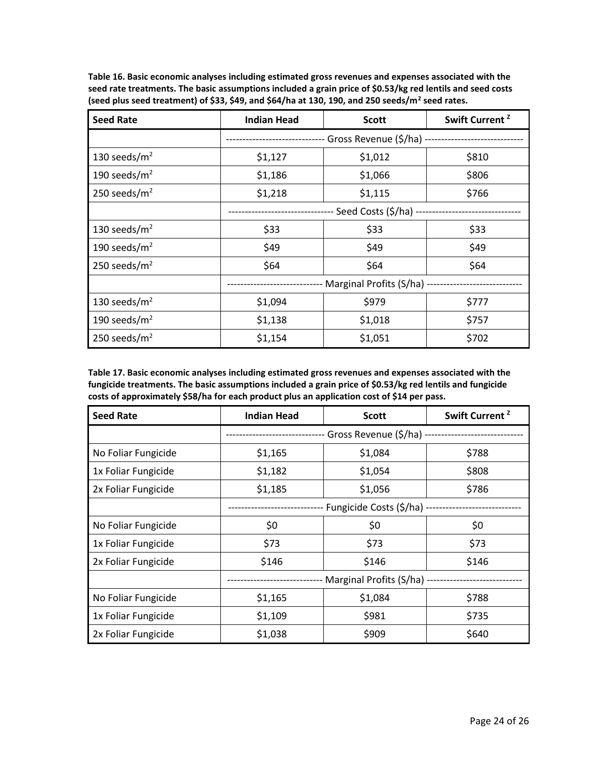| <b>Seed Rate</b> | <b>Indian Head</b>                    | <b>Scott</b> | Swift Current <sup>2</sup> |
|------------------|---------------------------------------|--------------|----------------------------|
|                  | Gross Revenue (\$/ha) --------------- |              |                            |
| 130 seeds/ $m2$  | \$1,127                               | \$1,012      | \$810                      |
| 190 seeds/ $m2$  | \$1,186                               | \$1,066      | \$806                      |
| 250 seeds/ $m2$  | \$1,218                               | \$1,115      | \$766                      |
|                  | - Seed Costs (\$/ha) -                |              |                            |
| 130 seeds/ $m2$  | \$33                                  | \$33         | \$33                       |
| 190 seeds/ $m2$  | \$49                                  | \$49         | \$49                       |
| 250 seeds/ $m2$  | \$64                                  | \$64         | \$64                       |
|                  | Marginal Profits (S/ha)               |              |                            |
| 130 seeds/ $m2$  | \$1,094                               | \$979        | \$777                      |
| 190 seeds/ $m2$  | \$1,138                               | \$1,018      | \$757                      |
| 250 seeds/ $m2$  | \$1,154                               | \$1,051      | \$702                      |

**Table 16. Basic economic analyses including estimated gross revenues and expenses associated with the seed rate treatments. The basic assumptions included a grain price of \$0.53/kg red lentils and seed costs (seed plus seed treatment) of \$33, \$49, and \$64/ha at 130, 190, and 250 seeds/m<sup>2</sup> seed rates.**

**Table 17. Basic economic analyses including estimated gross revenues and expenses associated with the fungicide treatments. The basic assumptions included a grain price of \$0.53/kg red lentils and fungicide costs of approximately \$58/ha for each product plus an application cost of \$14 per pass.**

| <b>Seed Rate</b>    | <b>Indian Head</b>                         | <b>Scott</b> | Swift Current <sup>2</sup> |
|---------------------|--------------------------------------------|--------------|----------------------------|
|                     | Gross Revenue (\$/ha) --                   |              |                            |
| No Foliar Fungicide | \$1,165                                    | \$1,084      | \$788                      |
| 1x Foliar Fungicide | \$1,182                                    | \$1,054      | \$808                      |
| 2x Foliar Fungicide | \$1,185                                    | \$1,056      | \$786                      |
|                     | Fungicide Costs (\$/ha) ------------------ |              |                            |
| No Foliar Fungicide | \$0                                        | \$0          | \$0                        |
| 1x Foliar Fungicide | \$73                                       | \$73         | \$73                       |
| 2x Foliar Fungicide | \$146                                      | \$146        | \$146                      |
|                     | Marginal Profits (S/ha)                    |              |                            |
| No Foliar Fungicide | \$1,165                                    | \$1,084      | \$788                      |
| 1x Foliar Fungicide | \$1,109                                    | \$981        | \$735                      |
| 2x Foliar Fungicide | \$1,038                                    | \$909        | \$640                      |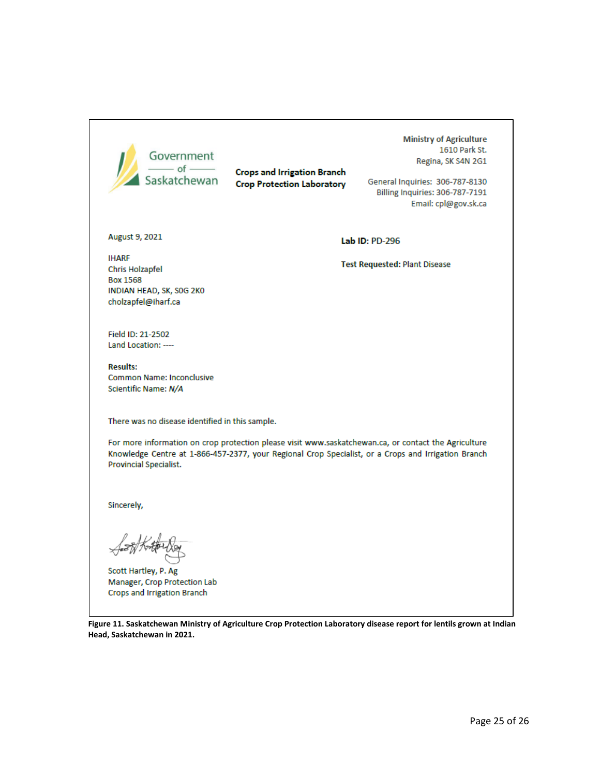

**Crops and Irrigation Branch Crop Protection Laboratory**  **Ministry of Agriculture** 1610 Park St. Regina, SK S4N 2G1

General Inquiries: 306-787-8130 **Billing Inquiries: 306-787-7191** Email: cpl@gov.sk.ca

August 9, 2021

Lab ID: PD-296

**Test Requested: Plant Disease** 

**IHARF** Chris Holzapfel **Box 1568** INDIAN HEAD, SK, SOG 2KO cholzapfel@iharf.ca

Field ID: 21-2502 Land Location: ----

**Results:** Common Name: Inconclusive Scientific Name: N/A

There was no disease identified in this sample.

For more information on crop protection please visit www.saskatchewan.ca, or contact the Agriculture Knowledge Centre at 1-866-457-2377, your Regional Crop Specialist, or a Crops and Irrigation Branch Provincial Specialist.

Sincerely,

Scott Hartley, P. Ag Manager, Crop Protection Lab Crops and Irrigation Branch

**Figure 11. Saskatchewan Ministry of Agriculture Crop Protection Laboratory disease report for lentils grown at Indian Head, Saskatchewan in 2021.**